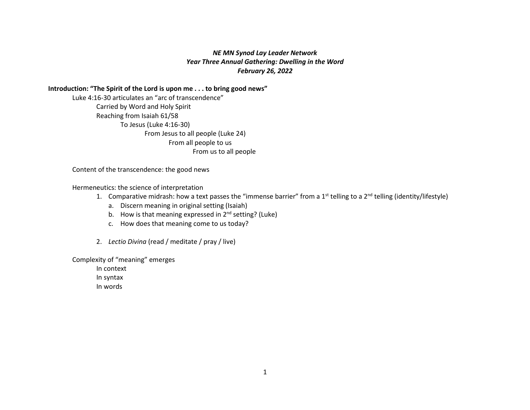# *NE MN Synod Lay Leader Network Year Three Annual Gathering: Dwelling in the Word February 26, 2022*

## **Introduction: "The Spirit of the Lord is upon me . . . to bring good news"**

Luke 4:16-30 articulates an "arc of transcendence" Carried by Word and Holy Spirit Reaching from Isaiah 61/58 To Jesus (Luke 4:16-30) From Jesus to all people (Luke 24) From all people to us From us to all people

Content of the transcendence: the good news

Hermeneutics: the science of interpretation

- 1. Comparative midrash: how a text passes the "immense barrier" from a  $1<sup>st</sup>$  telling to a  $2<sup>nd</sup>$  telling (identity/lifestyle)
	- a. Discern meaning in original setting (Isaiah)
	- b. How is that meaning expressed in  $2^{nd}$  setting? (Luke)
	- c. How does that meaning come to us today?
- 2. *Lectio Divina* (read / meditate / pray / live)

Complexity of "meaning" emerges

In context In syntax In words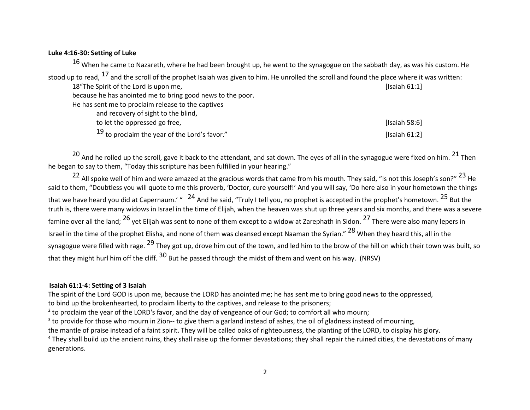### **Luke 4:16-30: Setting of Luke**

 $16$  When he came to Nazareth, where he had been brought up, he went to the synagogue on the sabbath day, as was his custom. He stood up to read, <sup>17</sup> and the scroll of the prophet Isaiah was given to him. He unrolled the scroll and found the place where it was written: 18"The Spirit of the Lord is upon me, and the spirit of the Lord is upon me, and the spirit of the Lord is upon me, because he has anointed me to bring good news to the poor. He has sent me to proclaim release to the captives and recovery of sight to the blind, to let the oppressed go free, **https://www.fileson.com/intervalsed** [Isaiah 58:6]  $19$  to proclaim the year of the Lord's favor." [Isaiah 61:2]

<sup>20</sup> And he rolled up the scroll, gave it back to the attendant, and sat down. The eyes of all in the synagogue were fixed on him. <sup>21</sup> Then he began to say to them, "Today this scripture has been fulfilled in your hearing."

<sup>22</sup> All spoke well of him and were amazed at the gracious words that came from his mouth. They said, "Is not this Joseph's son?" <sup>23</sup> He said to them, "Doubtless you will quote to me this proverb, 'Doctor, cure yourself!' And you will say, 'Do here also in your hometown the things that we have heard you did at Capernaum.' " <sup>24</sup> And he said, "Truly I tell you, no prophet is accepted in the prophet's hometown. <sup>25</sup> But the truth is, there were many widows in Israel in the time of Elijah, when the heaven was shut up three years and six months, and there was a severe famine over all the land; <sup>26</sup> yet Elijah was sent to none of them except to a widow at Zarephath in Sidon. <sup>27</sup> There were also many lepers in Israel in the time of the prophet Elisha, and none of them was cleansed except Naaman the Syrian." <sup>28</sup> When they heard this, all in the synagogue were filled with rage. <sup>29</sup> They got up, drove him out of the town, and led him to the brow of the hill on which their town was built, so that they might hurl him off the cliff. <sup>30</sup> But he passed through the midst of them and went on his way. (NRSV)

#### **Isaiah 61:1-4: Setting of 3 Isaiah**

The spirit of the Lord GOD is upon me, because the LORD has anointed me; he has sent me to bring good news to the oppressed,

to bind up the brokenhearted, to proclaim liberty to the captives, and release to the prisoners;

 $<sup>2</sup>$  to proclaim the year of the LORD's favor, and the day of vengeance of our God; to comfort all who mourn;</sup>

 $3$  to provide for those who mourn in Zion-- to give them a garland instead of ashes, the oil of gladness instead of mourning,

the mantle of praise instead of a faint spirit. They will be called oaks of righteousness, the planting of the LORD, to display his glory.

<sup>4</sup> They shall build up the ancient ruins, they shall raise up the former devastations; they shall repair the ruined cities, the devastations of many generations.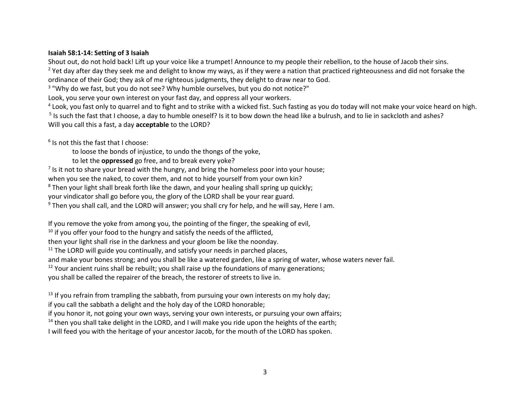## **Isaiah 58:1-14: Setting of 3 Isaiah**

Shout out, do not hold back! Lift up your voice like a trumpet! Announce to my people their rebellion, to the house of Jacob their sins. <sup>2</sup> Yet day after day they seek me and delight to know my ways, as if they were a nation that practiced righteousness and did not forsake the ordinance of their God; they ask of me righteous judgments, they delight to draw near to God.

<sup>3</sup> "Why do we fast, but you do not see? Why humble ourselves, but you do not notice?"

Look, you serve your own interest on your fast day, and oppress all your workers.

<sup>4</sup> Look, you fast only to quarrel and to fight and to strike with a wicked fist. Such fasting as you do today will not make your voice heard on high.

<sup>5</sup> Is such the fast that I choose, a day to humble oneself? Is it to bow down the head like a bulrush, and to lie in sackcloth and ashes? Will you call this a fast, a day **acceptable** to the LORD?

 $6$  Is not this the fast that I choose:

to loose the bonds of injustice, to undo the thongs of the yoke,

to let the **oppressed** go free, and to break every yoke?

 $<sup>7</sup>$  Is it not to share your bread with the hungry, and bring the homeless poor into your house;</sup>

when you see the naked, to cover them, and not to hide yourself from your own kin?

<sup>8</sup> Then your light shall break forth like the dawn, and your healing shall spring up quickly;

your vindicator shall go before you, the glory of the LORD shall be your rear guard.

<sup>9</sup> Then you shall call, and the LORD will answer; you shall cry for help, and he will say, Here I am.

If you remove the yoke from among you, the pointing of the finger, the speaking of evil,

 $10$  if you offer your food to the hungry and satisfy the needs of the afflicted,

then your light shall rise in the darkness and your gloom be like the noonday.

 $11$  The LORD will guide you continually, and satisfy your needs in parched places,

and make your bones strong; and you shall be like a watered garden, like a spring of water, whose waters never fail.

 $12$  Your ancient ruins shall be rebuilt; you shall raise up the foundations of many generations;

you shall be called the repairer of the breach, the restorer of streets to live in.

 $13$  If you refrain from trampling the sabbath, from pursuing your own interests on my holy day;

if you call the sabbath a delight and the holy day of the LORD honorable;

if you honor it, not going your own ways, serving your own interests, or pursuing your own affairs;

 $14$  then you shall take delight in the LORD, and I will make you ride upon the heights of the earth;

I will feed you with the heritage of your ancestor Jacob, for the mouth of the LORD has spoken.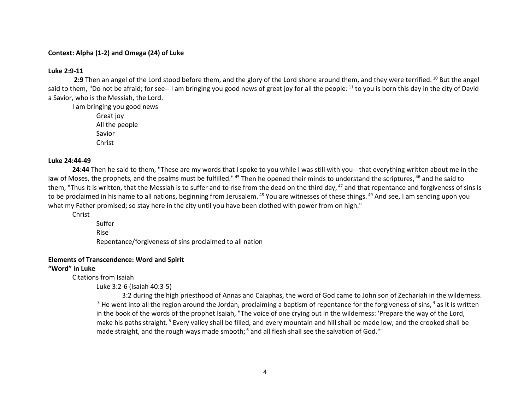## **Context: Alpha (1-2) and Omega (24) of Luke**

#### **Luke 2:9-11**

2:9 Then an angel of the Lord stood before them, and the glory of the Lord shone around them, and they were terrified. <sup>10</sup> But the angel said to them, "Do not be afraid; for see-- I am bringing you good news of great joy for all the people: <sup>11</sup> to you is born this day in the city of David a Savior, who is the Messiah, the Lord.

I am bringing you good news Great joy

All the people Savior Christ

#### **Luke 24:44-49**

**24:44** Then he said to them, "These are my words that I spoke to you while I was still with you-- that everything written about me in the law of Moses, the prophets, and the psalms must be fulfilled." <sup>45</sup> Then he opened their minds to understand the scriptures, <sup>46</sup> and he said to them, "Thus it is written, that the Messiah is to suffer and to rise from the dead on the third day,  $47$  and that repentance and forgiveness of sins is to be proclaimed in his name to all nations, beginning from Jerusalem. <sup>48</sup> You are witnesses of these things. <sup>49</sup> And see, I am sending upon you what my Father promised; so stay here in the city until you have been clothed with power from on high."

Christ

Suffer Rise Repentance/forgiveness of sins proclaimed to all nation

## **Elements of Transcendence: Word and Spirit**

## **"Word" in Luke**

Citations from Isaiah

Luke 3:2-6 (Isaiah 40:3-5)

3:2 during the high priesthood of Annas and Caiaphas, the word of God came to John son of Zechariah in the wilderness.  $3$  He went into all the region around the Jordan, proclaiming a baptism of repentance for the forgiveness of sins,  $4$  as it is written in the book of the words of the prophet Isaiah, "The voice of one crying out in the wilderness: 'Prepare the way of the Lord, make his paths straight. <sup>5</sup> Every valley shall be filled, and every mountain and hill shall be made low, and the crooked shall be made straight, and the rough ways made smooth; <sup>6</sup> and all flesh shall see the salvation of God."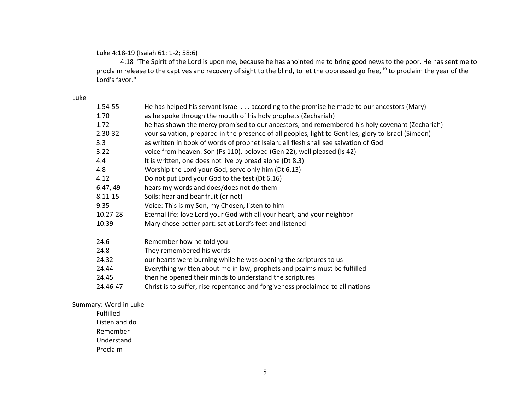Luke 4:18-19 (Isaiah 61: 1-2; 58:6)

4:18 "The Spirit of the Lord is upon me, because he has anointed me to bring good news to the poor. He has sent me to proclaim release to the captives and recovery of sight to the blind, to let the oppressed go free, <sup>19</sup> to proclaim the year of the Lord's favor."

### Luke

| 1.54-55  | He has helped his servant Israel according to the promise he made to our ancestors (Mary)            |
|----------|------------------------------------------------------------------------------------------------------|
| 1.70     | as he spoke through the mouth of his holy prophets (Zechariah)                                       |
| 1.72     | he has shown the mercy promised to our ancestors; and remembered his holy covenant (Zechariah)       |
| 2.30-32  | your salvation, prepared in the presence of all peoples, light to Gentiles, glory to Israel (Simeon) |
| 3.3      | as written in book of words of prophet Isaiah: all flesh shall see salvation of God                  |
| 3.22     | voice from heaven: Son (Ps 110), beloved (Gen 22), well pleased (Is 42)                              |
| 4.4      | It is written, one does not live by bread alone (Dt 8.3)                                             |
| 4.8      | Worship the Lord your God, serve only him (Dt 6.13)                                                  |
| 4.12     | Do not put Lord your God to the test (Dt 6.16)                                                       |
| 6.47, 49 | hears my words and does/does not do them                                                             |
| 8.11-15  | Soils: hear and bear fruit (or not)                                                                  |
| 9.35     | Voice: This is my Son, my Chosen, listen to him                                                      |
| 10.27-28 | Eternal life: love Lord your God with all your heart, and your neighbor                              |
| 10:39    | Mary chose better part: sat at Lord's feet and listened                                              |
| 24.6     | Remember how he told you                                                                             |
| 24.8     | They remembered his words                                                                            |
| 24.32    | our hearts were burning while he was opening the scriptures to us                                    |
| 24.44    | Everything written about me in law, prophets and psalms must be fulfilled                            |
| 24.45    | then he opened their minds to understand the scriptures                                              |
| 24.46-47 | Christ is to suffer, rise repentance and forgiveness proclaimed to all nations                       |
|          |                                                                                                      |

Summary: Word in Luke

Fulfilled Listen and do

Remember

Understand

Proclaim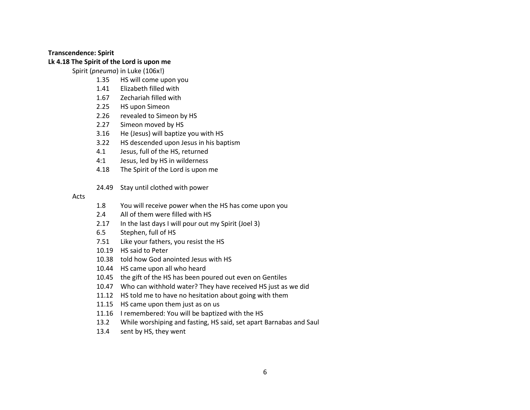#### **Transcendence: Spirit**

# **Lk 4.18 The Spirit of the Lord is upon me**

Spirit (*pneuma*) in Luke (106x!)

- 1.35 HS will come upon you
- 1.41 Elizabeth filled with
- 1.67 Zechariah filled with
- 2.25 HS upon Simeon
- 2.26 revealed to Simeon by HS
- 2.27 Simeon moved by HS
- 3.16 He (Jesus) will baptize you with HS
- 3.22 HS descended upon Jesus in his baptism
- 4.1 Jesus, full of the HS, returned
- 4:1 Jesus, led by HS in wilderness
- 4.18 The Spirit of the Lord is upon me
- 24.49 Stay until clothed with power

#### Acts

- 1.8 You will receive power when the HS has come upon you
- 2.4 All of them were filled with HS
- 2.17 In the last days I will pour out my Spirit (Joel 3)
- 6.5 Stephen, full of HS
- 7.51 Like your fathers, you resist the HS
- 10.19 HS said to Peter
- 10.38 told how God anointed Jesus with HS
- 10.44 HS came upon all who heard
- 10.45 the gift of the HS has been poured out even on Gentiles
- 10.47 Who can withhold water? They have received HS just as we did
- 11.12 HS told me to have no hesitation about going with them
- 11.15 HS came upon them just as on us
- 11.16 I remembered: You will be baptized with the HS
- 13.2 While worshiping and fasting, HS said, set apart Barnabas and Saul
- 13.4 sent by HS, they went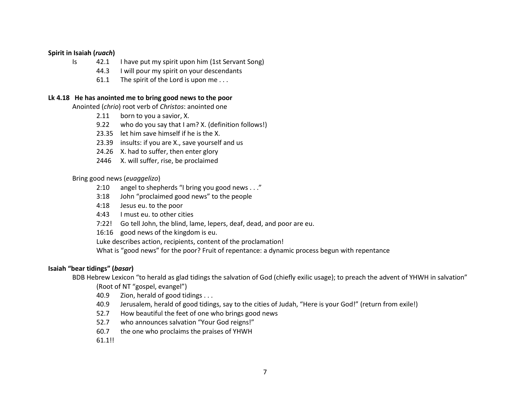## **Spirit in Isaiah (***ruach***)**

- Is 42.1 I have put my spirit upon him (1st Servant Song)
	- 44.3 I will pour my spirit on your descendants
	- 61.1 The spirit of the Lord is upon me...

# **Lk 4.18 He has anointed me to bring good news to the poor**

Anointed (*chrio*) root verb of *Christos*: anointed one

- 2.11 born to you a savior, X.
- 9.22 who do you say that I am? X. (definition follows!)
- 23.35 let him save himself if he is the X.
- 23.39 insults: if you are X., save yourself and us
- 24.26 X. had to suffer, then enter glory
- 2446 X. will suffer, rise, be proclaimed

# Bring good news (*euaggelizo*)

- 2:10 angel to shepherds "I bring you good news . . ."
- 3:18 John "proclaimed good news" to the people
- 4:18 Jesus eu. to the poor
- 4:43 I must eu. to other cities
- 7:22! Go tell John, the blind, lame, lepers, deaf, dead, and poor are eu.
- 16:16 good news of the kingdom is eu.
- Luke describes action, recipients, content of the proclamation!

What is "good news" for the poor? Fruit of repentance: a dynamic process begun with repentance

# **Isaiah "bear tidings" (***basar***)**

BDB Hebrew Lexicon "to herald as glad tidings the salvation of God (chiefly exilic usage); to preach the advent of YHWH in salvation"

(Root of NT "gospel, evangel")

- 40.9 Zion, herald of good tidings . . .
- 40.9 Jerusalem, herald of good tidings, say to the cities of Judah, "Here is your God!" (return from exile!)
- 52.7 How beautiful the feet of one who brings good news
- 52.7 who announces salvation "Your God reigns!"
- 60.7 the one who proclaims the praises of YHWH
- 61.1!!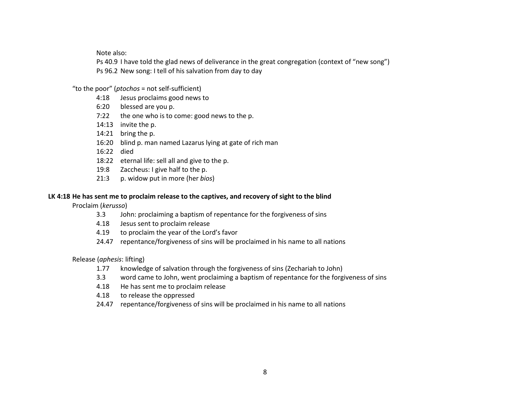Note also:

Ps 40.9 I have told the glad news of deliverance in the great congregation (context of "new song") Ps 96.2 New song: I tell of his salvation from day to day

"to the poor" (*ptochos* = not self-sufficient)

- 4:18 Jesus proclaims good news to
- 6:20 blessed are you p.
- 7:22 the one who is to come: good news to the p.
- 14:13 invite the p.
- 14:21 bring the p.
- 16:20 blind p. man named Lazarus lying at gate of rich man
- 16:22 died
- 18:22 eternal life: sell all and give to the p.
- 19:8 Zaccheus: I give half to the p.
- 21:3 p. widow put in more (her *bios*)

# **LK 4:18 He has sent me to proclaim release to the captives, and recovery of sight to the blind**

Proclaim (*kerusso*)

- 3.3 John: proclaiming a baptism of repentance for the forgiveness of sins
- 4.18 Jesus sent to proclaim release
- 4.19 to proclaim the year of the Lord's favor
- 24.47 repentance/forgiveness of sins will be proclaimed in his name to all nations

Release (*aphesis*: lifting)

- 1.77 knowledge of salvation through the forgiveness of sins (Zechariah to John)
- 3.3 word came to John, went proclaiming a baptism of repentance for the forgiveness of sins
- 4.18 He has sent me to proclaim release
- 4.18 to release the oppressed
- 24.47 repentance/forgiveness of sins will be proclaimed in his name to all nations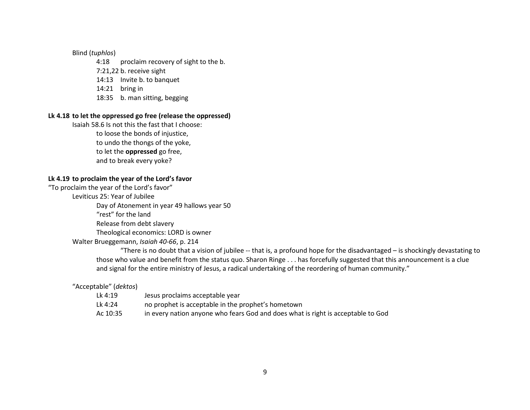# Blind (*tuphlos*)

- 4:18 proclaim recovery of sight to the b.
- 7:21,22 b. receive sight
- 14:13 Invite b. to banquet
- 14:21 bring in
- 18:35 b. man sitting, begging

#### **Lk 4.18 to let the oppressed go free (release the oppressed)**

Isaiah 58.6 Is not this the fast that I choose: to loose the bonds of injustice, to undo the thongs of the yoke, to let the **oppressed** go free, and to break every yoke?

# **Lk 4.19 to proclaim the year of the Lord's favor**

"To proclaim the year of the Lord's favor" Leviticus 25: Year of Jubilee Day of Atonement in year 49 hallows year 50 "rest" for the land Release from debt slavery Theological economics: LORD is owner Walter Brueggemann, *Isaiah 40-66*, p. 214

> "There is no doubt that a vision of jubilee  $-$  that is, a profound hope for the disadvantaged  $-$  is shockingly devastating to those who value and benefit from the status quo. Sharon Ringe . . . has forcefully suggested that this announcement is a clue and signal for the entire ministry of Jesus, a radical undertaking of the reordering of human community."

## "Acceptable" (*dektos*)

Lk 4:19 Jesus proclaims acceptable year Lk 4:24 no prophet is acceptable in the prophet's hometown Ac 10:35 in every nation anyone who fears God and does what is right is acceptable to God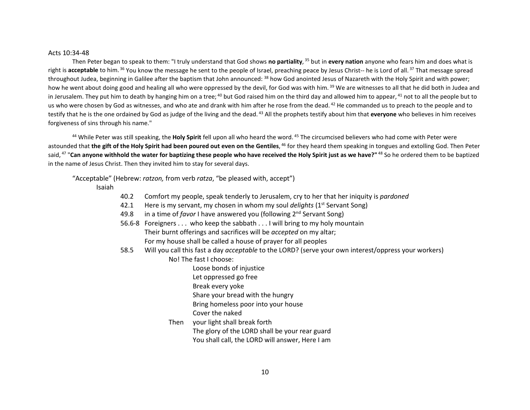#### Acts 10:34-48

Then Peter began to speak to them: "I truly understand that God shows **no partiality**, <sup>35</sup> but in **every nation** anyone who fears him and does what is right is **acceptable** to him. <sup>36</sup> You know the message he sent to the people of Israel, preaching peace by Jesus Christ-- he is Lord of all. <sup>37</sup> That message spread throughout Judea, beginning in Galilee after the baptism that John announced: <sup>38</sup> how God anointed Jesus of Nazareth with the Holy Spirit and with power; how he went about doing good and healing all who were oppressed by the devil, for God was with him.<sup>39</sup> We are witnesses to all that he did both in Judea and in Jerusalem. They put him to death by hanging him on a tree;  $40$  but God raised him on the third day and allowed him to appear,  $41$  not to all the people but to us who were chosen by God as witnesses, and who ate and drank with him after he rose from the dead.<sup>42</sup> He commanded us to preach to the people and to testify that he is the one ordained by God as judge of the living and the dead. <sup>43</sup> All the prophets testify about him that **everyone** who believes in him receives forgiveness of sins through his name."

<sup>44</sup> While Peter was still speaking, the **Holy Spirit** fell upon all who heard the word. <sup>45</sup> The circumcised believers who had come with Peter were astounded that **the gift of the Holy Spirit had been poured out even on the Gentiles**, <sup>46</sup> for they heard them speaking in tongues and extolling God. Then Peter said, <sup>47</sup> "**Can anyone withhold the water for baptizing these people who have received the Holy Spirit just as we have?"** <sup>48</sup> So he ordered them to be baptized in the name of Jesus Christ. Then they invited him to stay for several days.

"Acceptable" (Hebrew: *ratzon,* from verb *ratza*, "be pleased with, accept")

Isaiah

- 40.2 Comfort my people, speak tenderly to Jerusalem, cry to her that her iniquity is *pardoned*
- 42.1 Here is my servant, my chosen in whom my soul *delights* (1<sup>st</sup> Servant Song)
- 49.8 in a time of *favor* I have answered you (following 2<sup>nd</sup> Servant Song)
- 56.6-8 Foreigners . . . who keep the sabbath . . . I will bring to my holy mountain Their burnt offerings and sacrifices will be *accepted* on my altar; For my house shall be called a house of prayer for all peoples
- 58.5 Will you call this fast a day *acceptable* to the LORD? (serve your own interest/oppress your workers) No! The fast I choose:
	- Loose bonds of injustice
	- Let oppressed go free
	- Break every yoke
	- Share your bread with the hungry
	- Bring homeless poor into your house
	- Cover the naked
	- Then your light shall break forth The glory of the LORD shall be your rear guard You shall call, the LORD will answer, Here I am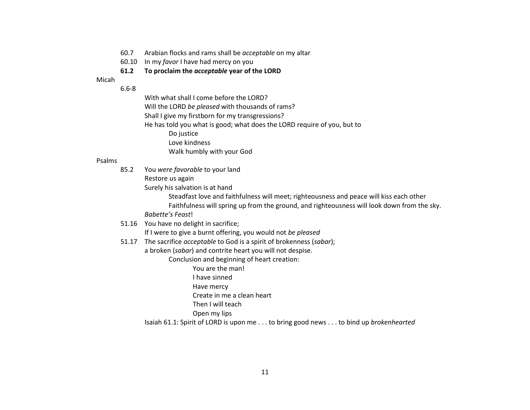- 60.7 Arabian flocks and rams shall be *acceptable* on my altar
- 60.10 In my *favor* I have had mercy on you

## **61.2 To proclaim the** *acceptable* **year of the LORD**

Micah

6.6-8

With what shall I come before the LORD?

Will the LORD *be pleased* with thousands of rams?

Shall I give my firstborn for my transgressions?

He has told you what is good; what does the LORD require of you, but to

- Do justice
- Love kindness

Walk humbly with your God

### Psalms

85.2 You *were favorable* to your land

Restore us again

Surely his salvation is at hand

Steadfast love and faithfulness will meet; righteousness and peace will kiss each other

Faithfulness will spring up from the ground, and righteousness will look down from the sky.

*Babette's Feast*!

51.16 You have no delight in sacrifice;

If I were to give a burnt offering, you would not *be pleased*

51.17 The sacrifice *acceptable* to God is a spirit of brokenness (*sabar*);

a broken (*sabar*) and contrite heart you will not despise.

Conclusion and beginning of heart creation:

You are the man!

I have sinned

Have mercy

Create in me a clean heart

Then I will teach

Open my lips

Isaiah 61.1: Spirit of LORD is upon me . . . to bring good news . . . to bind up *brokenhearted*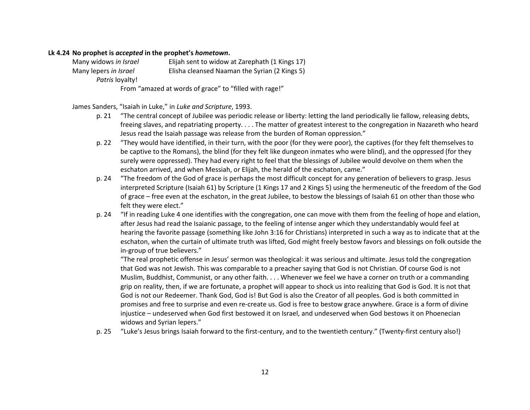### **Lk 4.24 No prophet is** *accepted* **in the prophet's** *hometown***.**

Many widows *in Israel* Elijah sent to widow at Zarephath (1 Kings 17) Many lepers *in Israel* Elisha cleansed Naaman the Syrian (2 Kings 5) *Patris* loyalty!

From "amazed at words of grace" to "filled with rage!"

# James Sanders, "Isaiah in Luke," in *Luke and Scripture*, 1993.

- p. 21 "The central concept of Jubilee was periodic release or liberty: letting the land periodically lie fallow, releasing debts, freeing slaves, and repatriating property. . . . The matter of greatest interest to the congregation in Nazareth who heard Jesus read the Isaiah passage was release from the burden of Roman oppression."
- p. 22 "They would have identified, in their turn, with the poor (for they were poor), the captives (for they felt themselves to be captive to the Romans), the blind (for they felt like dungeon inmates who were blind), and the oppressed (for they surely were oppressed). They had every right to feel that the blessings of Jubilee would devolve on them when the eschaton arrived, and when Messiah, or Elijah, the herald of the eschaton, came."
- p. 24 "The freedom of the God of grace is perhaps the most difficult concept for any generation of believers to grasp. Jesus interpreted Scripture (Isaiah 61) by Scripture (1 Kings 17 and 2 Kings 5) using the hermeneutic of the freedom of the God of grace – free even at the eschaton, in the great Jubilee, to bestow the blessings of Isaiah 61 on other than those who felt they were elect."
- p. 24 "If in reading Luke 4 one identifies with the congregation, one can move with them from the feeling of hope and elation, after Jesus had read the Isaianic passage, to the feeling of intense anger which they understandably would feel at hearing the favorite passage (something like John 3:16 for Christians) interpreted in such a way as to indicate that at the eschaton, when the curtain of ultimate truth was lifted, God might freely bestow favors and blessings on folk outside the in-group of true believers."

"The real prophetic offense in Jesus' sermon was theological: it was serious and ultimate. Jesus told the congregation that God was not Jewish. This was comparable to a preacher saying that God is not Christian. Of course God is not Muslim, Buddhist, Communist, or any other faith. . . . Whenever we feel we have a corner on truth or a commanding grip on reality, then, if we are fortunate, a prophet will appear to shock us into realizing that God is God. It is not that God is not our Redeemer. Thank God, God is! But God is also the Creator of all peoples. God is both committed in promises and free to surprise and even re-create us. God is free to bestow grace anywhere. Grace is a form of divine injustice – undeserved when God first bestowed it on Israel, and undeserved when God bestows it on Phoenecian widows and Syrian lepers."

p. 25 "Luke's Jesus brings Isaiah forward to the first-century, and to the twentieth century." (Twenty-first century also!)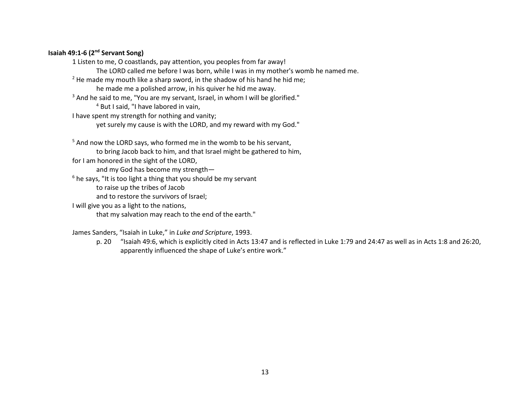# **Isaiah 49:1-6 (2nd Servant Song)**

1 Listen to me, O coastlands, pay attention, you peoples from far away! The LORD called me before I was born, while I was in my mother's womb he named me.  $2$  He made my mouth like a sharp sword, in the shadow of his hand he hid me; he made me a polished arrow, in his quiver he hid me away. <sup>3</sup> And he said to me, "You are my servant, Israel, in whom I will be glorified." <sup>4</sup> But I said, "I have labored in vain, I have spent my strength for nothing and vanity; yet surely my cause is with the LORD, and my reward with my God."

 $5$  And now the LORD says, who formed me in the womb to be his servant,

to bring Jacob back to him, and that Israel might be gathered to him,

for I am honored in the sight of the LORD,

and my God has become my strength—

 $6$  he says, "It is too light a thing that you should be my servant

to raise up the tribes of Jacob

and to restore the survivors of Israel;

I will give you as a light to the nations,

that my salvation may reach to the end of the earth."

James Sanders, "Isaiah in Luke," in *Luke and Scripture*, 1993.

p. 20 "Isaiah 49:6, which is explicitly cited in Acts 13:47 and is reflected in Luke 1:79 and 24:47 as well as in Acts 1:8 and 26:20, apparently influenced the shape of Luke's entire work."